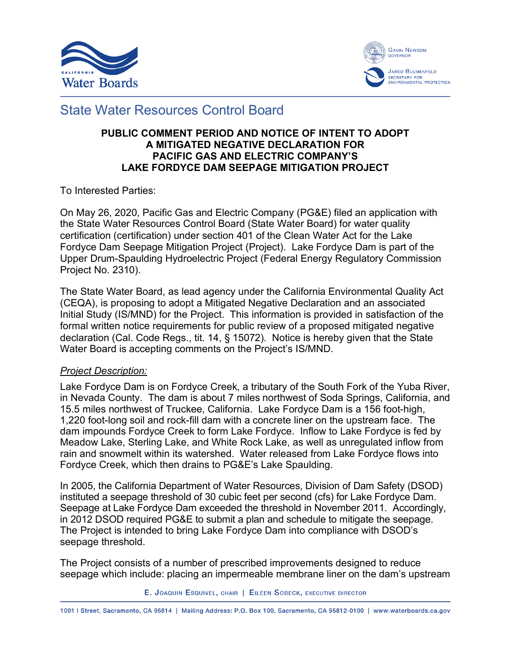



# State Water Resources Control Board

### **PUBLIC COMMENT PERIOD AND NOTICE OF INTENT TO ADOPT A MITIGATED NEGATIVE DECLARATION FOR PACIFIC GAS AND ELECTRIC COMPANY'S LAKE FORDYCE DAM SEEPAGE MITIGATION PROJECT**

To Interested Parties:

On May 26, 2020, Pacific Gas and Electric Company (PG&E) filed an application with the State Water Resources Control Board (State Water Board) for water quality certification (certification) under section 401 of the Clean Water Act for the Lake Fordyce Dam Seepage Mitigation Project (Project). Lake Fordyce Dam is part of the Upper Drum-Spaulding Hydroelectric Project (Federal Energy Regulatory Commission Project No. 2310).

The State Water Board, as lead agency under the California Environmental Quality Act (CEQA), is proposing to adopt a Mitigated Negative Declaration and an associated Initial Study (IS/MND) for the Project. This information is provided in satisfaction of the formal written notice requirements for public review of a proposed mitigated negative declaration (Cal. Code Regs., tit. 14, § 15072). Notice is hereby given that the State Water Board is accepting comments on the Project's IS/MND.

### *Project Description:*

Lake Fordyce Dam is on Fordyce Creek, a tributary of the South Fork of the Yuba River, in Nevada County. The dam is about 7 miles northwest of Soda Springs, California, and 15.5 miles northwest of Truckee, California. Lake Fordyce Dam is a 156 foot-high, 1,220 foot-long soil and rock-fill dam with a concrete liner on the upstream face. The dam impounds Fordyce Creek to form Lake Fordyce. Inflow to Lake Fordyce is fed by Meadow Lake, Sterling Lake, and White Rock Lake, as well as unregulated inflow from rain and snowmelt within its watershed. Water released from Lake Fordyce flows into Fordyce Creek, which then drains to PG&E's Lake Spaulding.

In 2005, the California Department of Water Resources, Division of Dam Safety (DSOD) instituted a seepage threshold of 30 cubic feet per second (cfs) for Lake Fordyce Dam. Seepage at Lake Fordyce Dam exceeded the threshold in November 2011. Accordingly, in 2012 DSOD required PG&E to submit a plan and schedule to mitigate the seepage. The Project is intended to bring Lake Fordyce Dam into compliance with DSOD's seepage threshold.

The Project consists of a number of prescribed improvements designed to reduce seepage which include: placing an impermeable membrane liner on the dam's upstream

E. JOAQUIN ESQUIVEL, CHAIR | EILEEN SOBECK, EXECUTIVE DIRECTOR

1001 | Street, Sacramento, CA 95814 | Mailing Address: P.O. Box 100, Sacramento, CA 95812-0100 | www.waterboards.ca.gov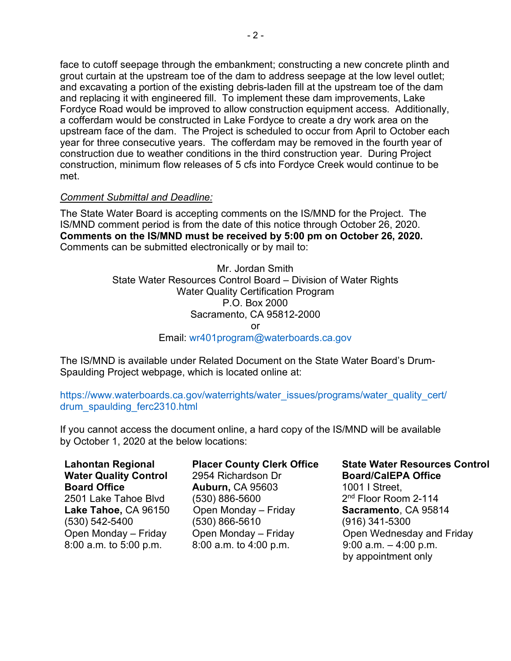face to cutoff seepage through the embankment; constructing a new concrete plinth and grout curtain at the upstream toe of the dam to address seepage at the low level outlet; and excavating a portion of the existing debris-laden fill at the upstream toe of the dam and replacing it with engineered fill. To implement these dam improvements, Lake Fordyce Road would be improved to allow construction equipment access. Additionally, a cofferdam would be constructed in Lake Fordyce to create a dry work area on the upstream face of the dam. The Project is scheduled to occur from April to October each year for three consecutive years. The cofferdam may be removed in the fourth year of construction due to weather conditions in the third construction year. During Project construction, minimum flow releases of 5 cfs into Fordyce Creek would continue to be met.

### *Comment Submittal and Deadline:*

The State Water Board is accepting comments on the IS/MND for the Project. The IS/MND comment period is from the date of this notice through October 26, 2020. **Comments on the IS/MND must be received by 5:00 pm on October 26, 2020.** Comments can be submitted electronically or by mail to:

> Mr. Jordan Smith State Water Resources Control Board – Division of Water Rights Water Quality Certification Program P.O. Box 2000 Sacramento, CA 95812-2000 or Email: [wr401program@waterboards.ca.gov](mailto:wr401program@waterboards.ca.gov)

The IS/MND is available under Related Document on the State Water Board's Drum-Spaulding Project webpage, which is located online at:

[https://www.waterboards.ca.gov/waterrights/water\\_issues/programs/water\\_quality\\_cert/](https://www.waterboards.ca.gov/waterrights/water_issues/programs/water_quality_cert/drum_spaulding_ferc2310.html) [drum\\_spaulding\\_ferc2310.html](https://www.waterboards.ca.gov/waterrights/water_issues/programs/water_quality_cert/drum_spaulding_ferc2310.html)

If you cannot access the document online, a hard copy of the IS/MND will be available by October 1, 2020 at the below locations:

**Lahontan Regional Water Quality Control Board Office** 2501 Lake Tahoe Blvd **Lake Tahoe,** CA 96150 (530) 542-5400 Open Monday – Friday 8:00 a.m. to 5:00 p.m.

### **Placer County Clerk Office** 2954 Richardson Dr **Auburn,** CA 95603 (530) 886-5600 Open Monday – Friday (530) 866-5610 Open Monday – Friday 8:00 a.m. to 4:00 p.m.

#### **State Water Resources Control Board/CalEPA Office**

1001 I Street, 2nd Floor Room 2-114 **Sacramento**, CA 95814 (916) 341-5300 Open Wednesday and Friday 9:00 a.m. – 4:00 p.m. by appointment only